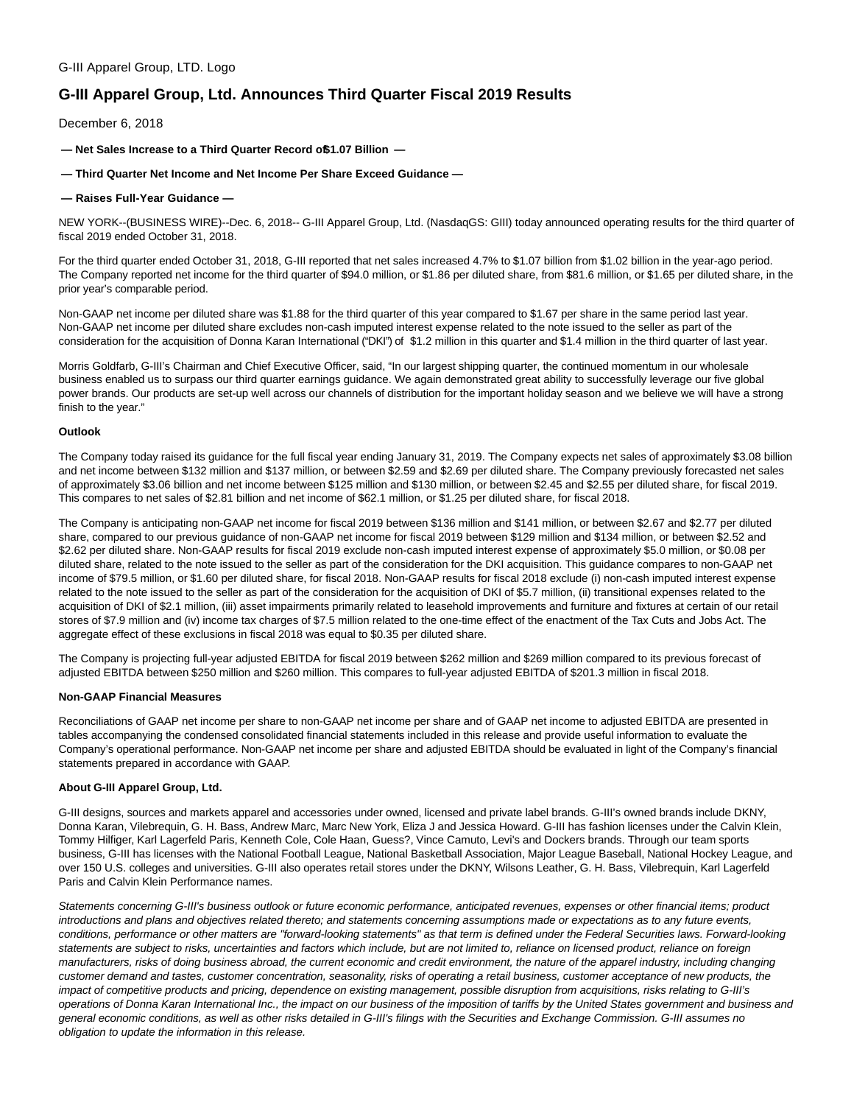# **G-III Apparel Group, Ltd. Announces Third Quarter Fiscal 2019 Results**

December 6, 2018

 $-$  Net Sales Increase to a Third Quarter Record of \$1.07 Billion  $-$ 

### **— Third Quarter Net Income and Net Income Per Share Exceed Guidance —**

#### **— Raises Full-Year Guidance —**

NEW YORK--(BUSINESS WIRE)--Dec. 6, 2018-- G-III Apparel Group, Ltd. (NasdaqGS: GIII) today announced operating results for the third quarter of fiscal 2019 ended October 31, 2018.

For the third quarter ended October 31, 2018, G-III reported that net sales increased 4.7% to \$1.07 billion from \$1.02 billion in the year-ago period. The Company reported net income for the third quarter of \$94.0 million, or \$1.86 per diluted share, from \$81.6 million, or \$1.65 per diluted share, in the prior year's comparable period.

Non-GAAP net income per diluted share was \$1.88 for the third quarter of this year compared to \$1.67 per share in the same period last year. Non-GAAP net income per diluted share excludes non-cash imputed interest expense related to the note issued to the seller as part of the consideration for the acquisition of Donna Karan International ("DKI") of \$1.2 million in this quarter and \$1.4 million in the third quarter of last year.

Morris Goldfarb, G-III's Chairman and Chief Executive Officer, said, "In our largest shipping quarter, the continued momentum in our wholesale business enabled us to surpass our third quarter earnings guidance. We again demonstrated great ability to successfully leverage our five global power brands. Our products are set-up well across our channels of distribution for the important holiday season and we believe we will have a strong finish to the year."

### **Outlook**

The Company today raised its guidance for the full fiscal year ending January 31, 2019. The Company expects net sales of approximately \$3.08 billion and net income between \$132 million and \$137 million, or between \$2.59 and \$2.69 per diluted share. The Company previously forecasted net sales of approximately \$3.06 billion and net income between \$125 million and \$130 million, or between \$2.45 and \$2.55 per diluted share, for fiscal 2019. This compares to net sales of \$2.81 billion and net income of \$62.1 million, or \$1.25 per diluted share, for fiscal 2018.

The Company is anticipating non-GAAP net income for fiscal 2019 between \$136 million and \$141 million, or between \$2.67 and \$2.77 per diluted share, compared to our previous guidance of non-GAAP net income for fiscal 2019 between \$129 million and \$134 million, or between \$2.52 and \$2.62 per diluted share. Non-GAAP results for fiscal 2019 exclude non-cash imputed interest expense of approximately \$5.0 million, or \$0.08 per diluted share, related to the note issued to the seller as part of the consideration for the DKI acquisition. This guidance compares to non-GAAP net income of \$79.5 million, or \$1.60 per diluted share, for fiscal 2018. Non-GAAP results for fiscal 2018 exclude (i) non-cash imputed interest expense related to the note issued to the seller as part of the consideration for the acquisition of DKI of \$5.7 million, (ii) transitional expenses related to the acquisition of DKI of \$2.1 million, (iii) asset impairments primarily related to leasehold improvements and furniture and fixtures at certain of our retail stores of \$7.9 million and (iv) income tax charges of \$7.5 million related to the one-time effect of the enactment of the Tax Cuts and Jobs Act. The aggregate effect of these exclusions in fiscal 2018 was equal to \$0.35 per diluted share.

The Company is projecting full-year adjusted EBITDA for fiscal 2019 between \$262 million and \$269 million compared to its previous forecast of adjusted EBITDA between \$250 million and \$260 million. This compares to full-year adjusted EBITDA of \$201.3 million in fiscal 2018.

#### **Non-GAAP Financial Measures**

Reconciliations of GAAP net income per share to non-GAAP net income per share and of GAAP net income to adjusted EBITDA are presented in tables accompanying the condensed consolidated financial statements included in this release and provide useful information to evaluate the Company's operational performance. Non-GAAP net income per share and adjusted EBITDA should be evaluated in light of the Company's financial statements prepared in accordance with GAAP.

#### **About G-III Apparel Group, Ltd.**

G-III designs, sources and markets apparel and accessories under owned, licensed and private label brands. G-III's owned brands include DKNY, Donna Karan, Vilebrequin, G. H. Bass, Andrew Marc, Marc New York, Eliza J and Jessica Howard. G-III has fashion licenses under the Calvin Klein, Tommy Hilfiger, Karl Lagerfeld Paris, Kenneth Cole, Cole Haan, Guess?, Vince Camuto, Levi's and Dockers brands. Through our team sports business, G-III has licenses with the National Football League, National Basketball Association, Major League Baseball, National Hockey League, and over 150 U.S. colleges and universities. G-III also operates retail stores under the DKNY, Wilsons Leather, G. H. Bass, Vilebrequin, Karl Lagerfeld Paris and Calvin Klein Performance names.

Statements concerning G-III's business outlook or future economic performance, anticipated revenues, expenses or other financial items; product introductions and plans and objectives related thereto; and statements concerning assumptions made or expectations as to any future events, conditions, performance or other matters are "forward-looking statements" as that term is defined under the Federal Securities laws. Forward-looking statements are subject to risks, uncertainties and factors which include, but are not limited to, reliance on licensed product, reliance on foreign manufacturers, risks of doing business abroad, the current economic and credit environment, the nature of the apparel industry, including changing customer demand and tastes, customer concentration, seasonality, risks of operating a retail business, customer acceptance of new products, the impact of competitive products and pricing, dependence on existing management, possible disruption from acquisitions, risks relating to G-III's operations of Donna Karan International Inc., the impact on our business of the imposition of tariffs by the United States government and business and general economic conditions, as well as other risks detailed in G-III's filings with the Securities and Exchange Commission. G-III assumes no obligation to update the information in this release.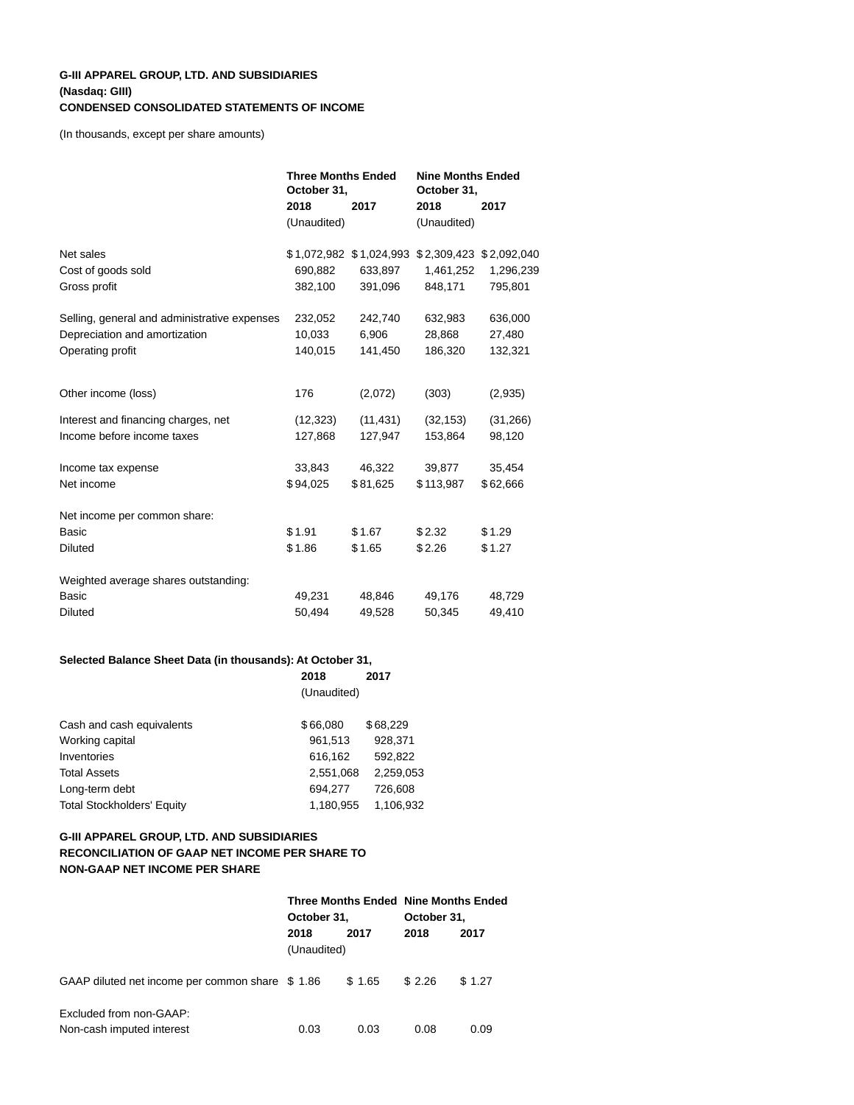### **G-III APPAREL GROUP, LTD. AND SUBSIDIARIES (Nasdaq: GIII) CONDENSED CONSOLIDATED STATEMENTS OF INCOME**

(In thousands, except per share amounts)

|                                              | <b>Three Months Ended</b><br>October 31, |                         | <b>Nine Months Ended</b><br>October 31, |           |
|----------------------------------------------|------------------------------------------|-------------------------|-----------------------------------------|-----------|
|                                              | 2018                                     | 2017                    | 2018                                    | 2017      |
|                                              | (Unaudited)                              |                         | (Unaudited)                             |           |
| Net sales                                    |                                          | \$1,072,982 \$1,024,993 | \$2,309,423 \$2,092,040                 |           |
| Cost of goods sold                           | 690,882                                  | 633,897                 | 1,461,252                               | 1,296,239 |
| Gross profit                                 | 382,100                                  | 391,096                 | 848,171                                 | 795,801   |
| Selling, general and administrative expenses | 232,052                                  | 242,740                 | 632,983                                 | 636,000   |
| Depreciation and amortization                | 10,033                                   | 6,906                   | 28,868                                  | 27,480    |
| Operating profit                             | 140,015                                  | 141,450                 | 186,320                                 | 132,321   |
| Other income (loss)                          | 176                                      | (2,072)                 | (303)                                   | (2,935)   |
| Interest and financing charges, net          | (12, 323)                                | (11, 431)               | (32, 153)                               | (31, 266) |
| Income before income taxes                   | 127,868                                  | 127,947                 | 153,864                                 | 98,120    |
| Income tax expense                           | 33,843                                   | 46,322                  | 39,877                                  | 35,454    |
| Net income                                   | \$94,025                                 | \$81,625                | \$113.987                               | \$62,666  |
| Net income per common share:                 |                                          |                         |                                         |           |
| Basic                                        | \$1.91                                   | \$1.67                  | \$2.32                                  | \$1.29    |
| <b>Diluted</b>                               | \$1.86                                   | \$1.65                  | \$2.26                                  | \$1.27    |
| Weighted average shares outstanding:         |                                          |                         |                                         |           |
| <b>Basic</b>                                 | 49,231                                   | 48,846                  | 49,176                                  | 48,729    |
| <b>Diluted</b>                               | 50,494                                   | 49,528                  | 50,345                                  | 49,410    |

# **Selected Balance Sheet Data (in thousands): At October 31,**

|                                   | 2018        | 2017      |
|-----------------------------------|-------------|-----------|
|                                   | (Unaudited) |           |
| Cash and cash equivalents         | \$66,080    | \$68,229  |
| Working capital                   | 961,513     | 928,371   |
| Inventories                       | 616,162     | 592,822   |
| <b>Total Assets</b>               | 2,551,068   | 2,259,053 |
| Long-term debt                    | 694.277     | 726,608   |
| <b>Total Stockholders' Equity</b> | 1,180,955   | 1,106,932 |

# **G-III APPAREL GROUP, LTD. AND SUBSIDIARIES RECONCILIATION OF GAAP NET INCOME PER SHARE TO NON-GAAP NET INCOME PER SHARE**

|                                                 |             | <b>Three Months Ended Nine Months Ended</b> |             |        |
|-------------------------------------------------|-------------|---------------------------------------------|-------------|--------|
|                                                 | October 31, |                                             | October 31, |        |
|                                                 | 2018        | 2017                                        | 2018        | 2017   |
|                                                 | (Unaudited) |                                             |             |        |
| GAAP diluted net income per common share \$1.86 |             | \$1.65                                      | \$2.26      | \$1.27 |
| Excluded from non-GAAP:                         |             |                                             |             |        |
| Non-cash imputed interest                       | 0.03        | 0.03                                        | 0.08        | 0.09   |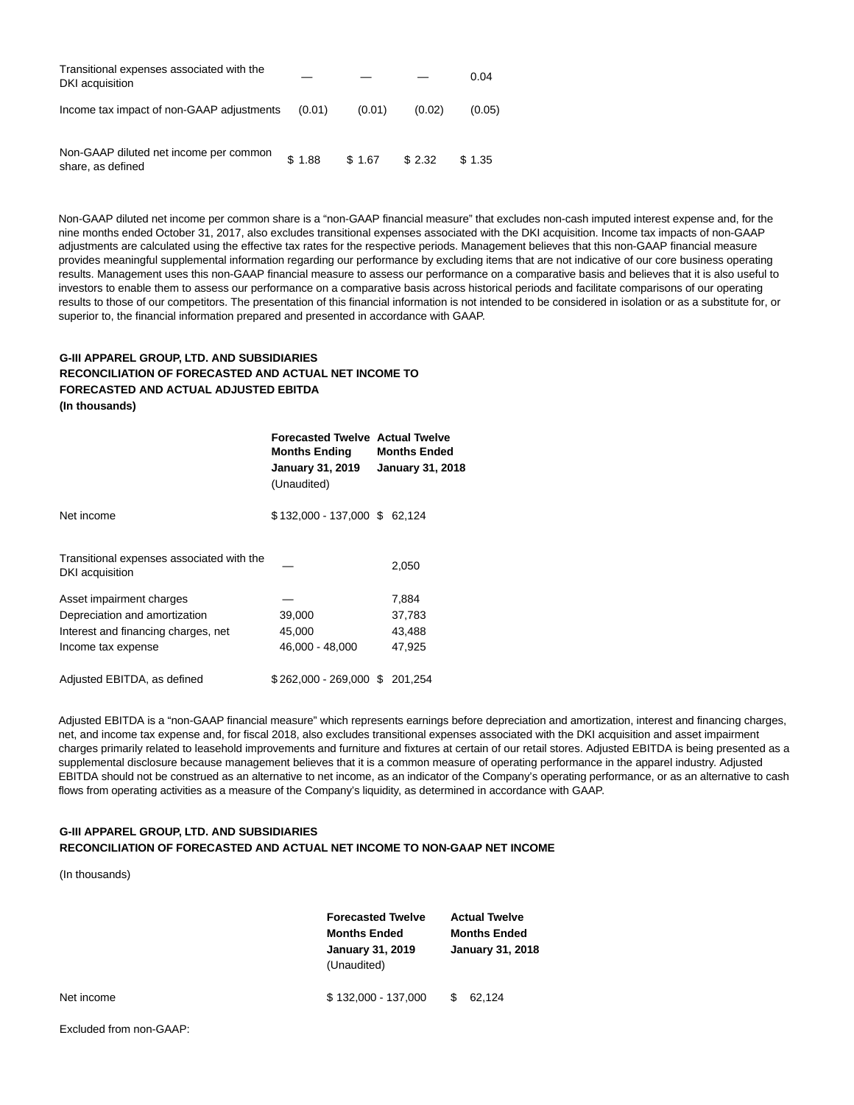| Transitional expenses associated with the<br>DKI acquisition |        |        |        | 0.04   |
|--------------------------------------------------------------|--------|--------|--------|--------|
| Income tax impact of non-GAAP adjustments                    | (0.01) | (0.01) | (0.02) | (0.05) |
| Non-GAAP diluted net income per common<br>share, as defined  | \$1.88 | \$1.67 | \$2.32 | \$1.35 |

Non-GAAP diluted net income per common share is a "non-GAAP financial measure" that excludes non-cash imputed interest expense and, for the nine months ended October 31, 2017, also excludes transitional expenses associated with the DKI acquisition. Income tax impacts of non-GAAP adjustments are calculated using the effective tax rates for the respective periods. Management believes that this non-GAAP financial measure provides meaningful supplemental information regarding our performance by excluding items that are not indicative of our core business operating results. Management uses this non-GAAP financial measure to assess our performance on a comparative basis and believes that it is also useful to investors to enable them to assess our performance on a comparative basis across historical periods and facilitate comparisons of our operating results to those of our competitors. The presentation of this financial information is not intended to be considered in isolation or as a substitute for, or superior to, the financial information prepared and presented in accordance with GAAP.

### **G-III APPAREL GROUP, LTD. AND SUBSIDIARIES RECONCILIATION OF FORECASTED AND ACTUAL NET INCOME TO FORECASTED AND ACTUAL ADJUSTED EBITDA (In thousands)**

|                                                              | <b>Forecasted Twelve Actual Twelve</b><br><b>Months Ending</b><br><b>January 31, 2019</b><br>(Unaudited) | <b>Months Ended</b><br><b>January 31, 2018</b> |
|--------------------------------------------------------------|----------------------------------------------------------------------------------------------------------|------------------------------------------------|
| Net income                                                   | \$132,000 - 137,000 \$62,124                                                                             |                                                |
| Transitional expenses associated with the<br>DKI acquisition |                                                                                                          | 2,050                                          |
| Asset impairment charges                                     |                                                                                                          | 7,884                                          |
| Depreciation and amortization                                | 39,000                                                                                                   | 37,783                                         |
| Interest and financing charges, net                          | 45,000                                                                                                   | 43,488                                         |
| Income tax expense                                           | 46,000 - 48,000                                                                                          | 47,925                                         |
| Adjusted EBITDA, as defined                                  | \$262,000 - 269,000 \$201,254                                                                            |                                                |

Adjusted EBITDA is a "non-GAAP financial measure" which represents earnings before depreciation and amortization, interest and financing charges, net, and income tax expense and, for fiscal 2018, also excludes transitional expenses associated with the DKI acquisition and asset impairment charges primarily related to leasehold improvements and furniture and fixtures at certain of our retail stores. Adjusted EBITDA is being presented as a supplemental disclosure because management believes that it is a common measure of operating performance in the apparel industry. Adjusted EBITDA should not be construed as an alternative to net income, as an indicator of the Company's operating performance, or as an alternative to cash flows from operating activities as a measure of the Company's liquidity, as determined in accordance with GAAP.

#### **G-III APPAREL GROUP, LTD. AND SUBSIDIARIES RECONCILIATION OF FORECASTED AND ACTUAL NET INCOME TO NON-GAAP NET INCOME**

(In thousands)

|            | <b>Forecasted Twelve</b><br><b>Months Ended</b><br><b>January 31, 2019</b><br>(Unaudited) | <b>Actual Twelve</b><br><b>Months Ended</b><br><b>January 31, 2018</b> |
|------------|-------------------------------------------------------------------------------------------|------------------------------------------------------------------------|
| Net income | \$132,000 - 137,000                                                                       | 62.124<br>SS.                                                          |

Excluded from non-GAAP: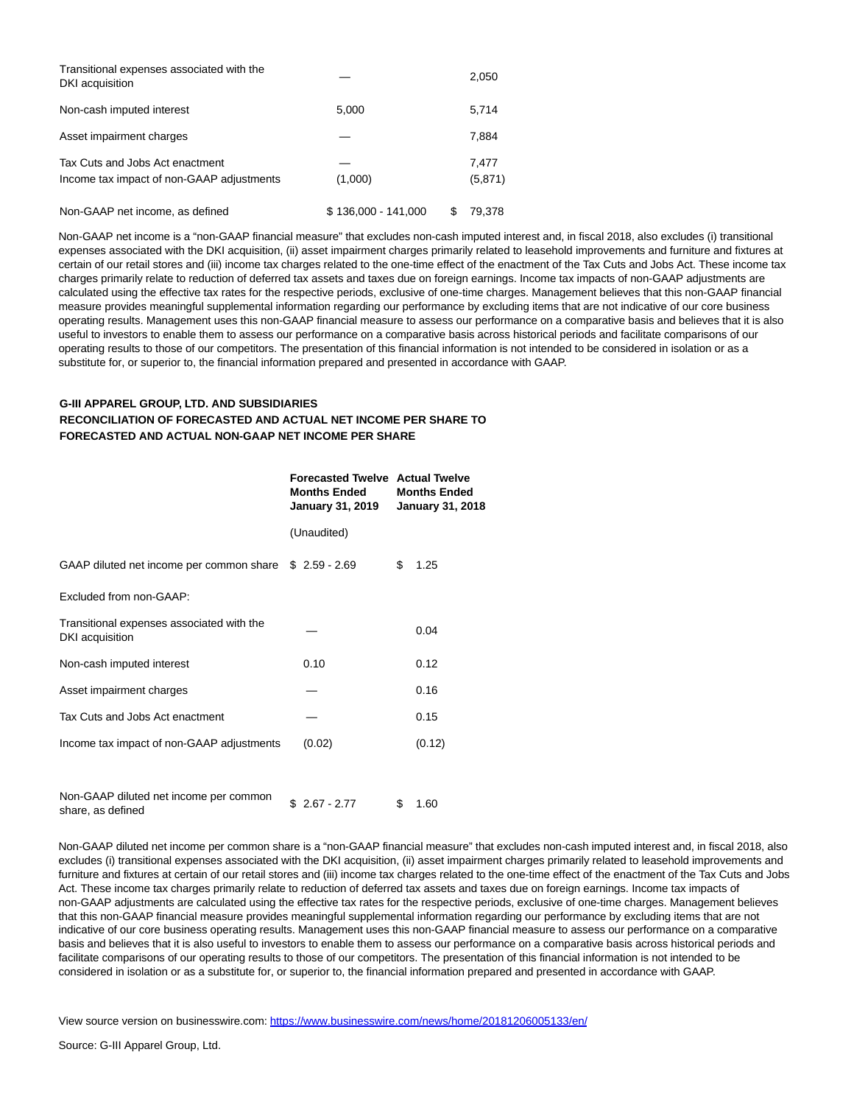| Transitional expenses associated with the<br>DKI acquisition                 |                     | 2,050            |
|------------------------------------------------------------------------------|---------------------|------------------|
| Non-cash imputed interest                                                    | 5.000               | 5.714            |
| Asset impairment charges                                                     |                     | 7,884            |
| Tax Cuts and Jobs Act enactment<br>Income tax impact of non-GAAP adjustments | (1,000)             | 7.477<br>(5,871) |
| Non-GAAP net income, as defined                                              | \$136,000 - 141,000 | 79,378           |

Non-GAAP net income is a "non-GAAP financial measure" that excludes non-cash imputed interest and, in fiscal 2018, also excludes (i) transitional expenses associated with the DKI acquisition, (ii) asset impairment charges primarily related to leasehold improvements and furniture and fixtures at certain of our retail stores and (iii) income tax charges related to the one-time effect of the enactment of the Tax Cuts and Jobs Act. These income tax charges primarily relate to reduction of deferred tax assets and taxes due on foreign earnings. Income tax impacts of non-GAAP adjustments are calculated using the effective tax rates for the respective periods, exclusive of one-time charges. Management believes that this non-GAAP financial measure provides meaningful supplemental information regarding our performance by excluding items that are not indicative of our core business operating results. Management uses this non-GAAP financial measure to assess our performance on a comparative basis and believes that it is also useful to investors to enable them to assess our performance on a comparative basis across historical periods and facilitate comparisons of our operating results to those of our competitors. The presentation of this financial information is not intended to be considered in isolation or as a substitute for, or superior to, the financial information prepared and presented in accordance with GAAP.

## **G-III APPAREL GROUP, LTD. AND SUBSIDIARIES RECONCILIATION OF FORECASTED AND ACTUAL NET INCOME PER SHARE TO FORECASTED AND ACTUAL NON-GAAP NET INCOME PER SHARE**

|                                                              | <b>Forecasted Twelve Actual Twelve</b><br><b>Months Ended</b><br><b>January 31, 2019</b> | <b>Months Ended</b><br><b>January 31, 2018</b> |  |
|--------------------------------------------------------------|------------------------------------------------------------------------------------------|------------------------------------------------|--|
|                                                              | (Unaudited)                                                                              |                                                |  |
| GAAP diluted net income per common share \$ 2.59 - 2.69      |                                                                                          | \$<br>1.25                                     |  |
| Excluded from non-GAAP:                                      |                                                                                          |                                                |  |
| Transitional expenses associated with the<br>DKI acquisition |                                                                                          | 0.04                                           |  |
| Non-cash imputed interest                                    | 0.10                                                                                     | 0.12                                           |  |
| Asset impairment charges                                     |                                                                                          | 0.16                                           |  |
| Tax Cuts and Jobs Act enactment                              |                                                                                          | 0.15                                           |  |
| Income tax impact of non-GAAP adjustments                    | (0.02)                                                                                   | (0.12)                                         |  |
|                                                              |                                                                                          |                                                |  |
|                                                              |                                                                                          |                                                |  |

Non-GAAP diluted net income per common share, as defined the income per common  $$ 2.67 - 2.77$   $$ 1.60$ 

Non-GAAP diluted net income per common share is a "non-GAAP financial measure" that excludes non-cash imputed interest and, in fiscal 2018, also excludes (i) transitional expenses associated with the DKI acquisition, (ii) asset impairment charges primarily related to leasehold improvements and furniture and fixtures at certain of our retail stores and (iii) income tax charges related to the one-time effect of the enactment of the Tax Cuts and Jobs Act. These income tax charges primarily relate to reduction of deferred tax assets and taxes due on foreign earnings. Income tax impacts of non-GAAP adjustments are calculated using the effective tax rates for the respective periods, exclusive of one-time charges. Management believes that this non-GAAP financial measure provides meaningful supplemental information regarding our performance by excluding items that are not indicative of our core business operating results. Management uses this non-GAAP financial measure to assess our performance on a comparative basis and believes that it is also useful to investors to enable them to assess our performance on a comparative basis across historical periods and facilitate comparisons of our operating results to those of our competitors. The presentation of this financial information is not intended to be considered in isolation or as a substitute for, or superior to, the financial information prepared and presented in accordance with GAAP.

View source version on businesswire.com:<https://www.businesswire.com/news/home/20181206005133/en/>